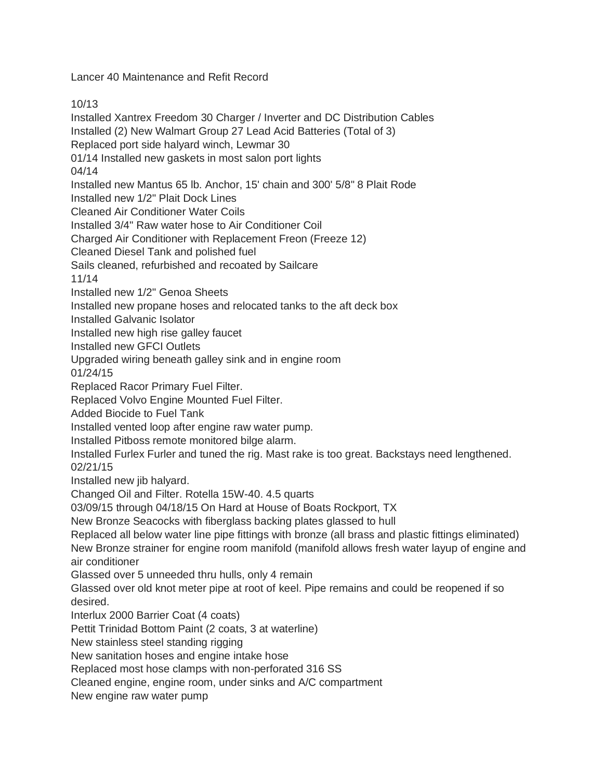Lancer 40 Maintenance and Refit Record

10/13

Installed Xantrex Freedom 30 Charger / Inverter and DC Distribution Cables Installed (2) New Walmart Group 27 Lead Acid Batteries (Total of 3) Replaced port side halyard winch, Lewmar 30 01/14 Installed new gaskets in most salon port lights 04/14 Installed new Mantus 65 lb. Anchor, 15' chain and 300' 5/8" 8 Plait Rode Installed new 1/2" Plait Dock Lines Cleaned Air Conditioner Water Coils Installed 3/4" Raw water hose to Air Conditioner Coil Charged Air Conditioner with Replacement Freon (Freeze 12) Cleaned Diesel Tank and polished fuel Sails cleaned, refurbished and recoated by Sailcare 11/14 Installed new 1/2" Genoa Sheets Installed new propane hoses and relocated tanks to the aft deck box Installed Galvanic Isolator Installed new high rise galley faucet Installed new GFCI Outlets Upgraded wiring beneath galley sink and in engine room 01/24/15 Replaced Racor Primary Fuel Filter. Replaced Volvo Engine Mounted Fuel Filter. Added Biocide to Fuel Tank Installed vented loop after engine raw water pump. Installed Pitboss remote monitored bilge alarm. Installed Furlex Furler and tuned the rig. Mast rake is too great. Backstays need lengthened. 02/21/15 Installed new jib halyard. Changed Oil and Filter. Rotella 15W-40. 4.5 quarts 03/09/15 through 04/18/15 On Hard at House of Boats Rockport, TX New Bronze Seacocks with fiberglass backing plates glassed to hull Replaced all below water line pipe fittings with bronze (all brass and plastic fittings eliminated) New Bronze strainer for engine room manifold (manifold allows fresh water layup of engine and air conditioner Glassed over 5 unneeded thru hulls, only 4 remain Glassed over old knot meter pipe at root of keel. Pipe remains and could be reopened if so desired. Interlux 2000 Barrier Coat (4 coats) Pettit Trinidad Bottom Paint (2 coats, 3 at waterline) New stainless steel standing rigging New sanitation hoses and engine intake hose Replaced most hose clamps with non-perforated 316 SS Cleaned engine, engine room, under sinks and A/C compartment New engine raw water pump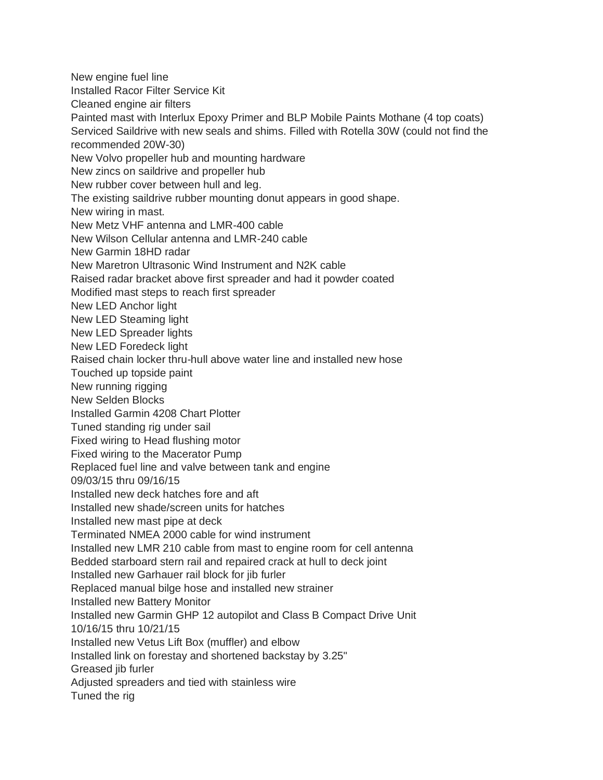New engine fuel line Installed Racor Filter Service Kit Cleaned engine air filters Painted mast with Interlux Epoxy Primer and BLP Mobile Paints Mothane (4 top coats) Serviced Saildrive with new seals and shims. Filled with Rotella 30W (could not find the recommended 20W-30) New Volvo propeller hub and mounting hardware New zincs on saildrive and propeller hub New rubber cover between hull and leg. The existing saildrive rubber mounting donut appears in good shape. New wiring in mast. New Metz VHF antenna and LMR-400 cable New Wilson Cellular antenna and LMR-240 cable New Garmin 18HD radar New Maretron Ultrasonic Wind Instrument and N2K cable Raised radar bracket above first spreader and had it powder coated Modified mast steps to reach first spreader New LED Anchor light New LED Steaming light New LED Spreader lights New LED Foredeck light Raised chain locker thru-hull above water line and installed new hose Touched up topside paint New running rigging New Selden Blocks Installed Garmin 4208 Chart Plotter Tuned standing rig under sail Fixed wiring to Head flushing motor Fixed wiring to the Macerator Pump Replaced fuel line and valve between tank and engine 09/03/15 thru 09/16/15 Installed new deck hatches fore and aft Installed new shade/screen units for hatches Installed new mast pipe at deck Terminated NMEA 2000 cable for wind instrument Installed new LMR 210 cable from mast to engine room for cell antenna Bedded starboard stern rail and repaired crack at hull to deck joint Installed new Garhauer rail block for jib furler Replaced manual bilge hose and installed new strainer Installed new Battery Monitor Installed new Garmin GHP 12 autopilot and Class B Compact Drive Unit 10/16/15 thru 10/21/15 Installed new Vetus Lift Box (muffler) and elbow Installed link on forestay and shortened backstay by 3.25" Greased jib furler Adjusted spreaders and tied with stainless wire Tuned the rig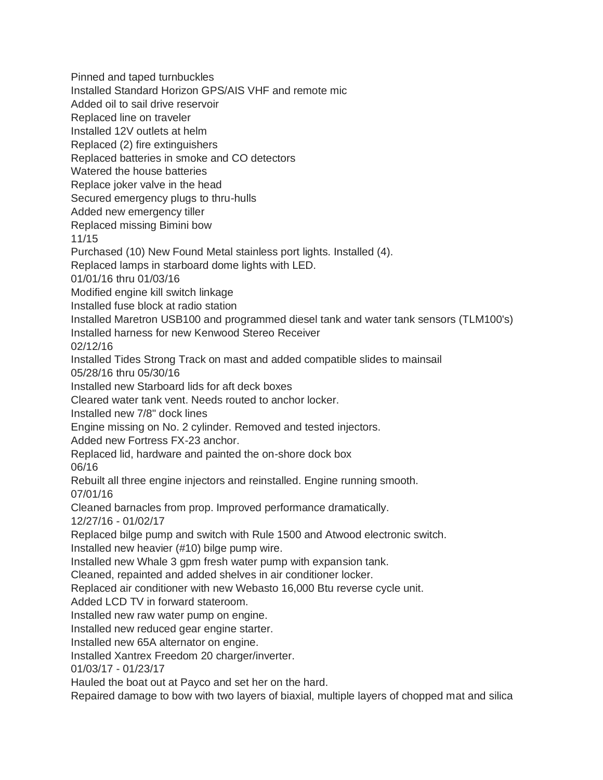Installed Standard Horizon GPS/AIS VHF and remote mic Added oil to sail drive reservoir Replaced line on traveler Installed 12V outlets at helm Replaced (2) fire extinguishers Replaced batteries in smoke and CO detectors Watered the house batteries Replace joker valve in the head Secured emergency plugs to thru-hulls Added new emergency tiller Replaced missing Bimini bow 11/15 Purchased (10) New Found Metal stainless port lights. Installed (4). Replaced lamps in starboard dome lights with LED. 01/01/16 thru 01/03/16 Modified engine kill switch linkage Installed fuse block at radio station Installed Maretron USB100 and programmed diesel tank and water tank sensors (TLM100's) Installed harness for new Kenwood Stereo Receiver 02/12/16 Installed Tides Strong Track on mast and added compatible slides to mainsail 05/28/16 thru 05/30/16 Installed new Starboard lids for aft deck boxes Cleared water tank vent. Needs routed to anchor locker. Installed new 7/8" dock lines Engine missing on No. 2 cylinder. Removed and tested injectors. Added new Fortress FX-23 anchor. Replaced lid, hardware and painted the on-shore dock box 06/16 Rebuilt all three engine injectors and reinstalled. Engine running smooth. 07/01/16 Cleaned barnacles from prop. Improved performance dramatically. 12/27/16 - 01/02/17 Replaced bilge pump and switch with Rule 1500 and Atwood electronic switch. Installed new heavier (#10) bilge pump wire. Installed new Whale 3 gpm fresh water pump with expansion tank. Cleaned, repainted and added shelves in air conditioner locker. Replaced air conditioner with new Webasto 16,000 Btu reverse cycle unit. Added LCD TV in forward stateroom. Installed new raw water pump on engine. Installed new reduced gear engine starter. Installed new 65A alternator on engine. Installed Xantrex Freedom 20 charger/inverter. 01/03/17 - 01/23/17 Hauled the boat out at Payco and set her on the hard. Repaired damage to bow with two layers of biaxial, multiple layers of chopped mat and silica

Pinned and taped turnbuckles